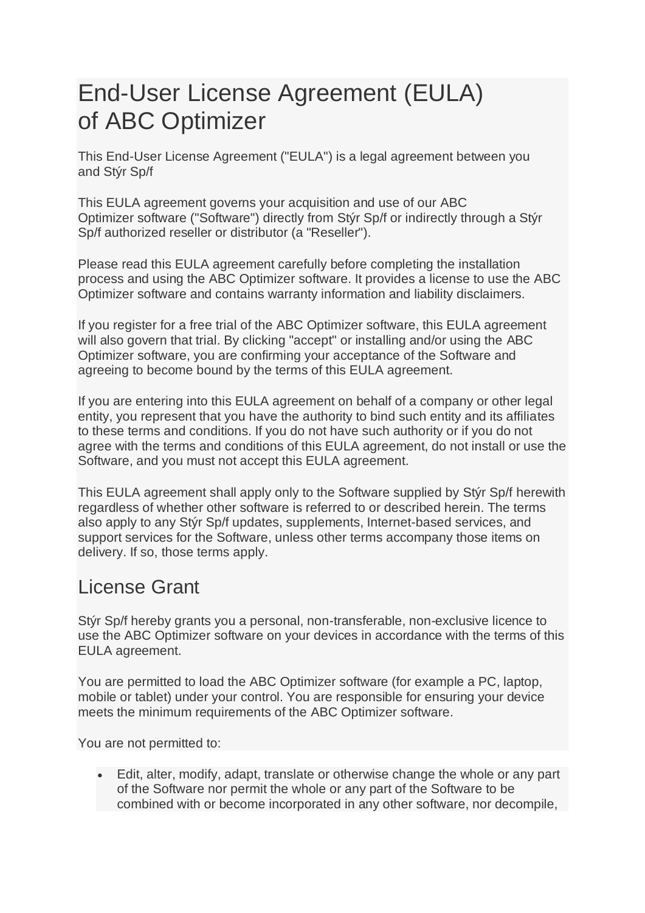# End-User License Agreement (EULA) of ABC Optimizer

This End-User License Agreement ("EULA") is a legal agreement between you and Stýr Sp/f

This EULA agreement governs your acquisition and use of our ABC Optimizer software ("Software") directly from Stýr Sp/f or indirectly through a Stýr Sp/f authorized reseller or distributor (a "Reseller").

Please read this EULA agreement carefully before completing the installation process and using the ABC Optimizer software. It provides a license to use the ABC Optimizer software and contains warranty information and liability disclaimers.

If you register for a free trial of the ABC Optimizer software, this EULA agreement will also govern that trial. By clicking "accept" or installing and/or using the ABC Optimizer software, you are confirming your acceptance of the Software and agreeing to become bound by the terms of this EULA agreement.

If you are entering into this EULA agreement on behalf of a company or other legal entity, you represent that you have the authority to bind such entity and its affiliates to these terms and conditions. If you do not have such authority or if you do not agree with the terms and conditions of this EULA agreement, do not install or use the Software, and you must not accept this EULA agreement.

This EULA agreement shall apply only to the Software supplied by Stýr Sp/f herewith regardless of whether other software is referred to or described herein. The terms also apply to any Stýr Sp/f updates, supplements, Internet-based services, and support services for the Software, unless other terms accompany those items on delivery. If so, those terms apply.

## License Grant

Stýr Sp/f hereby grants you a personal, non-transferable, non-exclusive licence to use the ABC Optimizer software on your devices in accordance with the terms of this EULA agreement.

You are permitted to load the ABC Optimizer software (for example a PC, laptop, mobile or tablet) under your control. You are responsible for ensuring your device meets the minimum requirements of the ABC Optimizer software.

You are not permitted to:

• Edit, alter, modify, adapt, translate or otherwise change the whole or any part of the Software nor permit the whole or any part of the Software to be combined with or become incorporated in any other software, nor decompile,